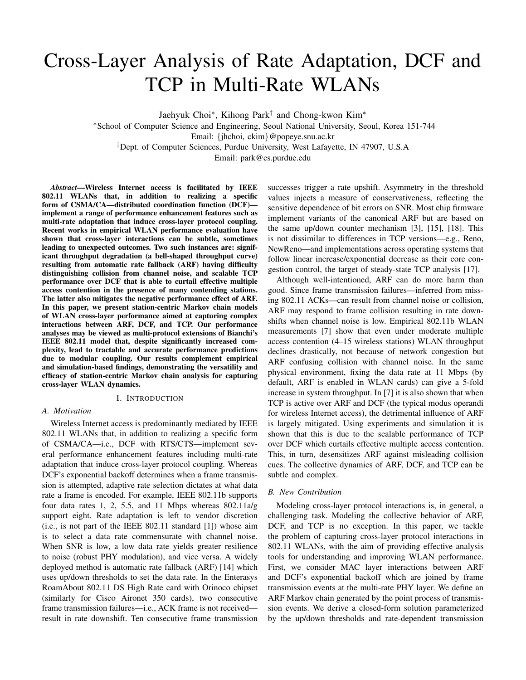# Cross-Layer Analysis of Rate Adaptation, DCF and TCP in Multi-Rate WLANs

Jaehyuk Choi∗, Kihong Park† and Chong-kwon Kim∗

∗School of Computer Science and Engineering, Seoul National University, Seoul, Korea 151-744 Email: {jhchoi, ckim}@popeye.snu.ac.kr †Dept. of Computer Sciences, Purdue University, West Lafayette, IN 47907, U.S.A

Email: park@cs.purdue.edu

*Abstract***—Wireless Internet access is facilitated by IEEE 802.11 WLANs that, in addition to realizing a specific form of CSMA/CA—distributed coordination function (DCF) implement a range of performance enhancement features such as multi-rate adaptation that induce cross-layer protocol coupling. Recent works in empirical WLAN performance evaluation have shown that cross-layer interactions can be subtle, sometimes leading to unexpected outcomes. Two such instances are: significant throughput degradation (a bell-shaped throughput curve) resulting from automatic rate fallback (ARF) having difficulty distinguishing collision from channel noise, and scalable TCP performance over DCF that is able to curtail effective multiple access contention in the presence of many contending stations. The latter also mitigates the negative performance effect of ARF. In this paper, we present station-centric Markov chain models of WLAN cross-layer performance aimed at capturing complex interactions between ARF, DCF, and TCP. Our performance analyses may be viewed as multi-protocol extensions of Bianchi's IEEE 802.11 model that, despite significantly increased complexity, lead to tractable and accurate performance predictions due to modular coupling. Our results complement empirical and simulation-based findings, demonstrating the versatility and efficacy of station-centric Markov chain analysis for capturing cross-layer WLAN dynamics.**

#### I. INTRODUCTION

# *A. Motivation*

Wireless Internet access is predominantly mediated by IEEE 802.11 WLANs that, in addition to realizing a specific form of CSMA/CA—i.e., DCF with RTS/CTS—implement several performance enhancement features including multi-rate adaptation that induce cross-layer protocol coupling. Whereas DCF's exponential backoff determines when a frame transmission is attempted, adaptive rate selection dictates at what data rate a frame is encoded. For example, IEEE 802.11b supports four data rates 1, 2, 5.5, and 11 Mbps whereas 802.11a/g support eight. Rate adaptation is left to vendor discretion (i.e., is not part of the IEEE 802.11 standard [1]) whose aim is to select a data rate commensurate with channel noise. When SNR is low, a low data rate yields greater resilience to noise (robust PHY modulation), and vice versa. A widely deployed method is automatic rate fallback (ARF) [14] which uses up/down thresholds to set the data rate. In the Enterasys RoamAbout 802.11 DS High Rate card with Orinoco chipset (similarly for Cisco Aironet 350 cards), two consecutive frame transmission failures—i.e., ACK frame is not received result in rate downshift. Ten consecutive frame transmission

successes trigger a rate upshift. Asymmetry in the threshold values injects a measure of conservativeness, reflecting the sensitive dependence of bit errors on SNR. Most chip firmware implement variants of the canonical ARF but are based on the same up/down counter mechanism [3], [15], [18]. This is not dissimilar to differences in TCP versions—e.g., Reno, NewReno—and implementations across operating systems that follow linear increase/exponential decrease as their core congestion control, the target of steady-state TCP analysis [17].

Although well-intentioned, ARF can do more harm than good. Since frame transmission failures—inferred from missing 802.11 ACKs—can result from channel noise or collision, ARF may respond to frame collision resulting in rate downshifts when channel noise is low. Empirical 802.11b WLAN measurements [7] show that even under moderate multiple access contention (4–15 wireless stations) WLAN throughput declines drastically, not because of network congestion but ARF confusing collision with channel noise. In the same physical environment, fixing the data rate at 11 Mbps (by default, ARF is enabled in WLAN cards) can give a 5-fold increase in system throughput. In [7] it is also shown that when TCP is active over ARF and DCF (the typical modus operandi for wireless Internet access), the detrimental influence of ARF is largely mitigated. Using experiments and simulation it is shown that this is due to the scalable performance of TCP over DCF which curtails effective multiple access contention. This, in turn, desensitizes ARF against misleading collision cues. The collective dynamics of ARF, DCF, and TCP can be subtle and complex.

## *B. New Contribution*

Modeling cross-layer protocol interactions is, in general, a challenging task. Modeling the collective behavior of ARF, DCF, and TCP is no exception. In this paper, we tackle the problem of capturing cross-layer protocol interactions in 802.11 WLANs, with the aim of providing effective analysis tools for understanding and improving WLAN performance. First, we consider MAC layer interactions between ARF and DCF's exponential backoff which are joined by frame transmission events at the multi-rate PHY layer. We define an ARF Markov chain generated by the point process of transmission events. We derive a closed-form solution parameterized by the up/down thresholds and rate-dependent transmission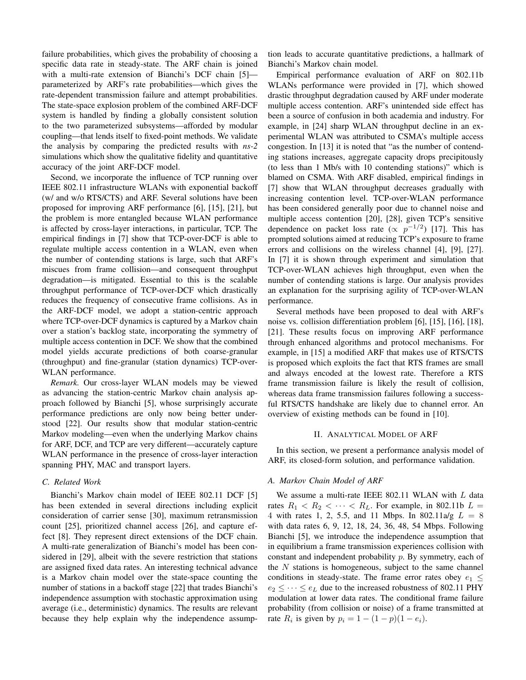failure probabilities, which gives the probability of choosing a specific data rate in steady-state. The ARF chain is joined with a multi-rate extension of Bianchi's DCF chain [5] parameterized by ARF's rate probabilities—which gives the rate-dependent transmission failure and attempt probabilities. The state-space explosion problem of the combined ARF-DCF system is handled by finding a globally consistent solution to the two parameterized subsystems—afforded by modular coupling—that lends itself to fixed-point methods. We validate the analysis by comparing the predicted results with *ns-2* simulations which show the qualitative fidelity and quantitative accuracy of the joint ARF-DCF model.

Second, we incorporate the influence of TCP running over IEEE 802.11 infrastructure WLANs with exponential backoff (w/ and w/o RTS/CTS) and ARF. Several solutions have been proposed for improving ARF performance [6], [15], [21], but the problem is more entangled because WLAN performance is affected by cross-layer interactions, in particular, TCP. The empirical findings in [7] show that TCP-over-DCF is able to regulate multiple access contention in a WLAN, even when the number of contending stations is large, such that ARF's miscues from frame collision—and consequent throughput degradation—is mitigated. Essential to this is the scalable throughput performance of TCP-over-DCF which drastically reduces the frequency of consecutive frame collisions. As in the ARF-DCF model, we adopt a station-centric approach where TCP-over-DCF dynamics is captured by a Markov chain over a station's backlog state, incorporating the symmetry of multiple access contention in DCF. We show that the combined model yields accurate predictions of both coarse-granular (throughput) and fine-granular (station dynamics) TCP-over-WLAN performance.

*Remark.* Our cross-layer WLAN models may be viewed as advancing the station-centric Markov chain analysis approach followed by Bianchi [5], whose surprisingly accurate performance predictions are only now being better understood [22]. Our results show that modular station-centric Markov modeling—even when the underlying Markov chains for ARF, DCF, and TCP are very different—accurately capture WLAN performance in the presence of cross-layer interaction spanning PHY, MAC and transport layers.

# *C. Related Work*

Bianchi's Markov chain model of IEEE 802.11 DCF [5] has been extended in several directions including explicit consideration of carrier sense [30], maximum retransmission count [25], prioritized channel access [26], and capture effect [8]. They represent direct extensions of the DCF chain. A multi-rate generalization of Bianchi's model has been considered in [29], albeit with the severe restriction that stations are assigned fixed data rates. An interesting technical advance is a Markov chain model over the state-space counting the number of stations in a backoff stage [22] that trades Bianchi's independence assumption with stochastic approximation using average (i.e., deterministic) dynamics. The results are relevant because they help explain why the independence assumption leads to accurate quantitative predictions, a hallmark of Bianchi's Markov chain model.

Empirical performance evaluation of ARF on 802.11b WLANs performance were provided in [7], which showed drastic throughput degradation caused by ARF under moderate multiple access contention. ARF's unintended side effect has been a source of confusion in both academia and industry. For example, in [24] sharp WLAN throughput decline in an experimental WLAN was attributed to CSMA's multiple access congestion. In [13] it is noted that "as the number of contending stations increases, aggregate capacity drops precipitously (to less than 1 Mb/s with 10 contending stations)" which is blamed on CSMA. With ARF disabled, empirical findings in [7] show that WLAN throughput decreases gradually with increasing contention level. TCP-over-WLAN performance has been considered generally poor due to channel noise and multiple access contention [20], [28], given TCP's sensitive dependence on packet loss rate ( $\propto p^{-1/2}$ ) [17]. This has prompted solutions aimed at reducing TCP's exposure to frame errors and collisions on the wireless channel [4], [9], [27]. In [7] it is shown through experiment and simulation that TCP-over-WLAN achieves high throughput, even when the number of contending stations is large. Our analysis provides an explanation for the surprising agility of TCP-over-WLAN performance.

Several methods have been proposed to deal with ARF's noise vs. collision differentiation problem [6], [15], [16], [18], [21]. These results focus on improving ARF performance through enhanced algorithms and protocol mechanisms. For example, in [15] a modified ARF that makes use of RTS/CTS is proposed which exploits the fact that RTS frames are small and always encoded at the lowest rate. Therefore a RTS frame transmission failure is likely the result of collision, whereas data frame transmission failures following a successful RTS/CTS handshake are likely due to channel error. An overview of existing methods can be found in [10].

#### II. ANALYTICAL MODEL OF ARF

In this section, we present a performance analysis model of ARF, its closed-form solution, and performance validation.

## *A. Markov Chain Model of ARF*

We assume a multi-rate IEEE 802.11 WLAN with  $L$  data rates  $R_1 < R_2 < \cdots < R_L$ . For example, in 802.11b  $L =$ 4 with rates 1, 2, 5.5, and 11 Mbps. In 802.11a/g  $L = 8$ with data rates 6, 9, 12, 18, 24, 36, 48, 54 Mbps. Following Bianchi [5], we introduce the independence assumption that in equilibrium a frame transmission experiences collision with constant and independent probability p. By symmetry, each of the  $N$  stations is homogeneous, subject to the same channel conditions in steady-state. The frame error rates obey  $e_1$  <  $e_2 \leq \cdots \leq e_L$  due to the increased robustness of 802.11 PHY modulation at lower data rates. The conditional frame failure probability (from collision or noise) of a frame transmitted at rate  $R_i$  is given by  $p_i = 1 - (1 - p)(1 - e_i)$ .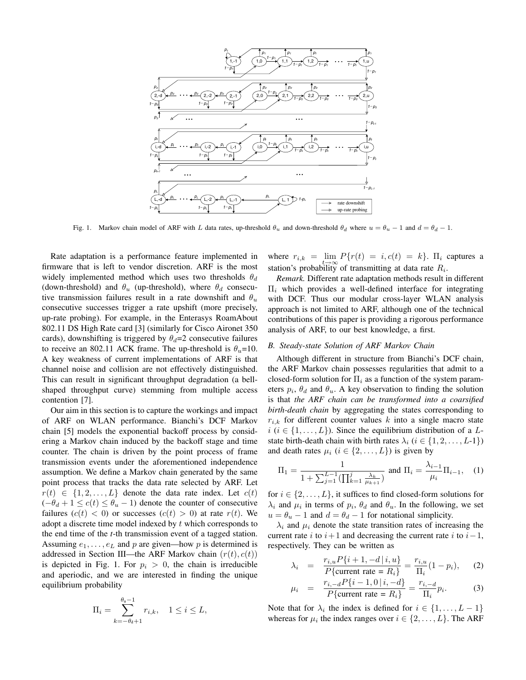

Fig. 1. Markov chain model of ARF with L data rates, up-threshold  $\theta_u$  and down-threshold  $\theta_d$  where  $u = \theta_u - 1$  and  $d = \theta_d - 1$ .

Rate adaptation is a performance feature implemented in firmware that is left to vendor discretion. ARF is the most widely implemented method which uses two thresholds  $\theta_d$ (down-threshold) and  $\theta_u$  (up-threshold), where  $\theta_d$  consecutive transmission failures result in a rate downshift and  $\theta_u$ consecutive successes trigger a rate upshift (more precisely, up-rate probing). For example, in the Enterasys RoamAbout 802.11 DS High Rate card [3] (similarly for Cisco Aironet 350 cards), downshifting is triggered by  $\theta_d=2$  consecutive failures to receive an 802.11 ACK frame. The up-threshold is  $\theta_u=10$ . A key weakness of current implementations of ARF is that channel noise and collision are not effectively distinguished. This can result in significant throughput degradation (a bellshaped throughput curve) stemming from multiple access contention [7].

Our aim in this section is to capture the workings and impact of ARF on WLAN performance. Bianchi's DCF Markov chain [5] models the exponential backoff process by considering a Markov chain induced by the backoff stage and time counter. The chain is driven by the point process of frame transmission events under the aforementioned independence assumption. We define a Markov chain generated by the same point process that tracks the data rate selected by ARF. Let  $r(t) \in \{1, 2, \ldots, L\}$  denote the data rate index. Let  $c(t)$  $(-\theta_d + 1 \leq c(t) \leq \theta_u - 1)$  denote the counter of consecutive failures  $(c(t) < 0)$  or successes  $(c(t) > 0)$  at rate  $r(t)$ . We adopt a discrete time model indexed by  $t$  which corresponds to the end time of the *t*-th transmission event of a tagged station. Assuming  $e_1, \ldots, e_L$  and p are given—how p is determined is addressed in Section III—the ARF Markov chain  $(r(t), c(t))$ is depicted in Fig. 1. For  $p_i > 0$ , the chain is irreducible and aperiodic, and we are interested in finding the unique equilibrium probability

$$
\Pi_i = \sum_{k=-\theta_d+1}^{\theta_u-1} r_{i,k}, \quad 1 \le i \le L,
$$

where  $r_{i,k} = \lim_{t \to \infty} P\{r(t) = i, c(t) = k\}$ .  $\Pi_i$  captures a station's probability of transmitting at data rate  $R_i$ .

*Remark.* Different rate adaptation methods result in different  $\Pi_i$  which provides a well-defined interface for integrating with DCF. Thus our modular cross-layer WLAN analysis approach is not limited to ARF, although one of the technical contributions of this paper is providing a rigorous performance analysis of ARF, to our best knowledge, a first.

#### *B. Steady-state Solution of ARF Markov Chain*

Although different in structure from Bianchi's DCF chain, the ARF Markov chain possesses regularities that admit to a closed-form solution for  $\Pi_i$  as a function of the system parameters  $p_i$ ,  $\theta_d$  and  $\theta_u$ . A key observation to finding the solution is that *the ARF chain can be transformed into a coarsified birth-death chain* by aggregating the states corresponding to  $r_{i,k}$  for different counter values k into a single macro state  $i$  ( $i \in \{1, \ldots, L\}$ ). Since the equilibrium distribution of a Lstate birth-death chain with birth rates  $\lambda_i$  ( $i \in \{1, 2, \ldots, L-1\}$ ) and death rates  $\mu_i$  ( $i \in \{2, \ldots, L\}$ ) is given by

$$
\Pi_1 = \frac{1}{1 + \sum_{j=1}^{L-1} (\prod_{k=1}^j \frac{\lambda_k}{\mu_{k+1}})} \text{ and } \Pi_i = \frac{\lambda_{i-1}}{\mu_i} \Pi_{i-1}, \quad (1)
$$

for  $i \in \{2, \ldots, L\}$ , it suffices to find closed-form solutions for  $\lambda_i$  and  $\mu_i$  in terms of  $p_i$ ,  $\theta_d$  and  $\theta_u$ . In the following, we set  $u = \theta_u - 1$  and  $d = \theta_d - 1$  for notational simplicity.

 $\lambda_i$  and  $\mu_i$  denote the state transition rates of increasing the current rate i to  $i+1$  and decreasing the current rate i to  $i-1$ , respectively. They can be written as

$$
\lambda_i = \frac{r_{i,u} P\{i+1, -d \mid i, u\}}{P\{\text{current rate} = R_i\}} = \frac{r_{i,u}}{\Pi_i} (1 - p_i), \quad (2)
$$

$$
\mu_i = \frac{r_{i,-d}P\{i-1,0\,|\,i,-d\}}{P\{\text{current rate} = R_i\}} = \frac{r_{i,-d}}{\Pi_i}p_i. \tag{3}
$$

Note that for  $\lambda_i$  the index is defined for  $i \in \{1, \ldots, L-1\}$ whereas for  $\mu_i$  the index ranges over  $i \in \{2, \ldots, L\}$ . The ARF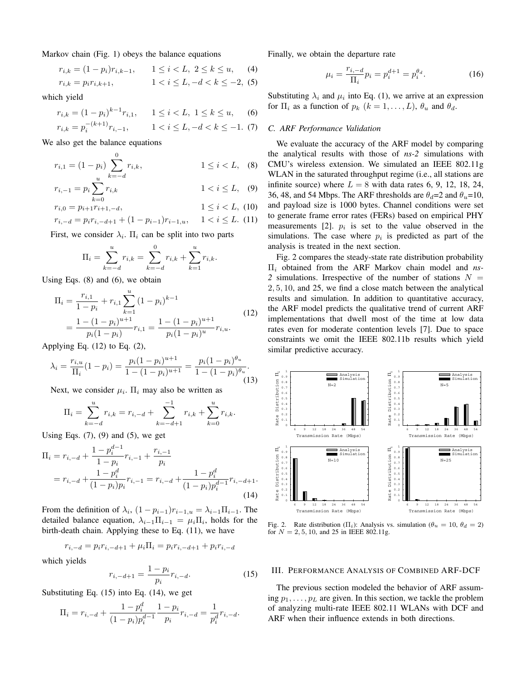Markov chain (Fig. 1) obeys the balance equations

$$
r_{i,k} = (1 - p_i)r_{i,k-1}, \qquad 1 \le i < L, \ 2 \le k \le u,\tag{4}
$$

$$
r_{i,k} = p_i r_{i,k+1}, \qquad 1 < i \le L, -d < k \le -2, \tag{5}
$$

which yield

$$
r_{i,k} = (1 - p_i)^{k-1} r_{i,1}, \qquad 1 \le i < L, \ 1 \le k \le u, \tag{6}
$$
\n
$$
r_{i,k} = n^{-\left(k+1\right)} r_{i,1}, \qquad 1 < i < L, \ -d < k < -1 \tag{7}
$$

$$
r_{i,k} = p_i^{-(\kappa+1)} r_{i,-1}, \qquad 1 < i \le L, -d < k \le -1. \tag{7}
$$

We also get the balance equations

$$
r_{i,1} = (1 - p_i) \sum_{k=-d}^{0} r_{i,k}, \qquad 1 \le i < L, \quad (8)
$$

$$
r_{i,-1} = p_i \sum_{k=0}^{u} r_{i,k} \qquad \qquad 1 < i \leq L, \quad (9)
$$

$$
r_{i,0} = p_{i+1}r_{i+1,-d}, \qquad \qquad 1 \le i < L, \tag{10}
$$

$$
r_{i,-d} = p_i r_{i,-d+1} + (1 - p_{i-1}) r_{i-1,u}, \quad 1 < i \leq L. \tag{11}
$$

First, we consider  $\lambda_i$ .  $\Pi_i$  can be split into two parts

$$
\Pi_i = \sum_{k=-d}^{u} r_{i,k} = \sum_{k=-d}^{0} r_{i,k} + \sum_{k=1}^{u} r_{i,k}.
$$

Using Eqs. (8) and (6), we obtain

$$
\Pi_{i} = \frac{r_{i,1}}{1 - p_{i}} + r_{i,1} \sum_{k=1}^{u} (1 - p_{i})^{k-1}
$$
\n
$$
= \frac{1 - (1 - p_{i})^{u+1}}{p_{i}(1 - p_{i})} r_{i,1} = \frac{1 - (1 - p_{i})^{u+1}}{p_{i}(1 - p_{i})^{u}} r_{i,u}.
$$
\n(12)

Applying Eq.  $(12)$  to Eq.  $(2)$ ,

$$
\lambda_i = \frac{r_{i,u}}{\Pi_i} (1 - p_i) = \frac{p_i (1 - p_i)^{u+1}}{1 - (1 - p_i)^{u+1}} = \frac{p_i (1 - p_i)^{\theta_u}}{1 - (1 - p_i)^{\theta_u}}.
$$
\n(13)

Next, we consider  $\mu_i$ .  $\Pi_i$  may also be written as

$$
\Pi_i = \sum_{k=-d}^{u} r_{i,k} = r_{i,-d} + \sum_{k=-d+1}^{-1} r_{i,k} + \sum_{k=0}^{u} r_{i,k}.
$$

Using Eqs.  $(7)$ ,  $(9)$  and  $(5)$ , we get

$$
\Pi_{i} = r_{i,-d} + \frac{1 - p_{i}^{d-1}}{1 - p_{i}} r_{i,-1} + \frac{r_{i,-1}}{p_{i}}
$$
\n
$$
= r_{i,-d} + \frac{1 - p_{i}^{d}}{(1 - p_{i})p_{i}} r_{i,-1} = r_{i,-d} + \frac{1 - p_{i}^{d}}{(1 - p_{i})p_{i}^{d-1}} r_{i,-d+1}.
$$
\n(14)

From the definition of  $\lambda_i$ ,  $(1 - p_{i-1})r_{i-1,u} = \lambda_{i-1}\Pi_{i-1}$ . The detailed balance equation,  $\lambda_{i-1}\Pi_{i-1} = \mu_i\Pi_i$ , holds for the birth-death chain. Applying these to Eq. (11), we have

$$
r_{i,-d} = p_i r_{i,-d+1} + \mu_i \Pi_i = p_i r_{i,-d+1} + p_i r_{i,-d}
$$

which yields

$$
r_{i,-d+1} = \frac{1 - p_i}{p_i} r_{i,-d}.
$$
\n(15)

Substituting Eq. (15) into Eq. (14), we get

$$
\Pi_i = r_{i, -d} + \frac{1 - p_i^d}{(1 - p_i)p_i^{d-1}} \frac{1 - p_i}{p_i} r_{i, -d} = \frac{1}{p_i^d} r_{i, -d}.
$$

Finally, we obtain the departure rate

$$
\mu_i = \frac{r_{i, -d}}{\Pi_i} p_i = p_i^{d+1} = p_i^{\theta_d}.
$$
 (16)

Substituting  $\lambda_i$  and  $\mu_i$  into Eq. (1), we arrive at an expression for  $\Pi_i$  as a function of  $p_k$   $(k = 1, \ldots, L)$ ,  $\theta_u$  and  $\theta_d$ .

#### *C. ARF Performance Validation*

We evaluate the accuracy of the ARF model by comparing the analytical results with those of *ns-2* simulations with CMU's wireless extension. We simulated an IEEE 802.11g WLAN in the saturated throughput regime (i.e., all stations are infinite source) where  $L = 8$  with data rates 6, 9, 12, 18, 24, 36, 48, and 54 Mbps. The ARF thresholds are  $\theta_d=2$  and  $\theta_u=10$ , and payload size is 1000 bytes. Channel conditions were set to generate frame error rates (FERs) based on empirical PHY measurements [2].  $p_i$  is set to the value observed in the simulations. The case where  $p_i$  is predicted as part of the analysis is treated in the next section.

Fig. 2 compares the steady-state rate distribution probability Π<sup>i</sup> obtained from the ARF Markov chain model and *ns-*2 simulations. Irrespective of the number of stations  $N =$ 2, 5, 10, and 25, we find a close match between the analytical results and simulation. In addition to quantitative accuracy, the ARF model predicts the qualitative trend of current ARF implementations that dwell most of the time at low data rates even for moderate contention levels [7]. Due to space constraints we omit the IEEE 802.11b results which yield similar predictive accuracy.



Fig. 2. Rate distribution ( $\Pi_i$ ): Analysis vs. simulation ( $\theta_u = 10$ ,  $\theta_d = 2$ ) for  $N = 2, 5, 10,$  and 25 in IEEE 802.11g.

## III. PERFORMANCE ANALYSIS OF COMBINED ARF-DCF

The previous section modeled the behavior of ARF assuming  $p_1, \ldots, p_L$  are given. In this section, we tackle the problem of analyzing multi-rate IEEE 802.11 WLANs with DCF and ARF when their influence extends in both directions.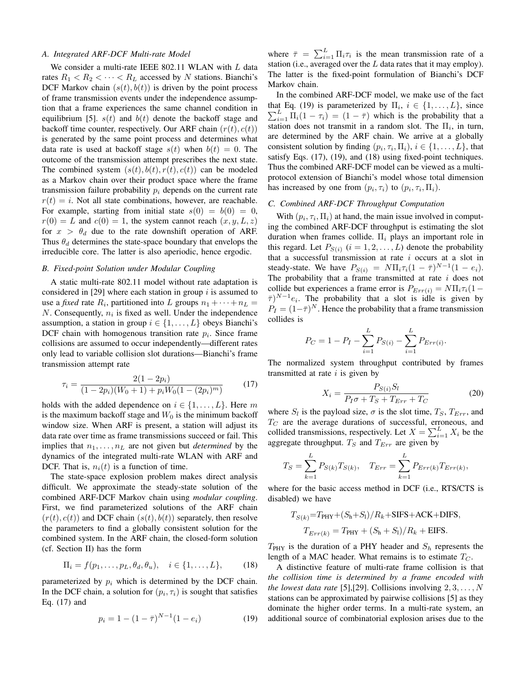#### *A. Integrated ARF-DCF Multi-rate Model*

We consider a multi-rate IEEE 802.11 WLAN with L data rates  $R_1 < R_2 < \cdots < R_L$  accessed by N stations. Bianchi's DCF Markov chain  $(s(t), b(t))$  is driven by the point process of frame transmission events under the independence assumption that a frame experiences the same channel condition in equilibrium [5].  $s(t)$  and  $b(t)$  denote the backoff stage and backoff time counter, respectively. Our ARF chain  $(r(t), c(t))$ is generated by the same point process and determines what data rate is used at backoff stage  $s(t)$  when  $b(t)=0$ . The outcome of the transmission attempt prescribes the next state. The combined system  $(s(t), b(t), r(t), c(t))$  can be modeled as a Markov chain over their product space where the frame transmission failure probability  $p_i$  depends on the current rate  $r(t) = i$ . Not all state combinations, however, are reachable. For example, starting from initial state  $s(0) = b(0) = 0$ ,  $r(0) = L$  and  $c(0) = 1$ , the system cannot reach  $(x, y, L, z)$ for  $x > \theta_d$  due to the rate downshift operation of ARF. Thus  $\theta_d$  determines the state-space boundary that envelops the irreducible core. The latter is also aperiodic, hence ergodic.

## *B. Fixed-point Solution under Modular Coupling*

A static multi-rate 802.11 model without rate adaptation is considered in [29] where each station in group  $i$  is assumed to use a *fixed* rate  $R_i$ , partitioned into L groups  $n_1 + \cdots + n_L =$  $N$ . Consequently,  $n_i$  is fixed as well. Under the independence assumption, a station in group  $i \in \{1, \ldots, L\}$  obeys Bianchi's DCF chain with homogenous transition rate  $p_i$ . Since frame collisions are assumed to occur independently—different rates only lead to variable collision slot durations—Bianchi's frame transmission attempt rate

$$
\tau_i = \frac{2(1 - 2p_i)}{(1 - 2p_i)(W_0 + 1) + p_i W_0 (1 - (2p_i)^m)}
$$
(17)

holds with the added dependence on  $i \in \{1, \ldots, L\}$ . Here m is the maximum backoff stage and  $W_0$  is the minimum backoff window size. When ARF is present, a station will adjust its data rate over time as frame transmissions succeed or fail. This implies that  $n_1, \ldots, n_L$  are not given but *determined* by the dynamics of the integrated multi-rate WLAN with ARF and DCF. That is,  $n_i(t)$  is a function of time.

The state-space explosion problem makes direct analysis difficult. We approximate the steady-state solution of the combined ARF-DCF Markov chain using *modular coupling*. First, we find parameterized solutions of the ARF chain  $(r(t), c(t))$  and DCF chain  $(s(t), b(t))$  separately, then resolve the parameters to find a globally consistent solution for the combined system. In the ARF chain, the closed-form solution (cf. Section II) has the form

$$
\Pi_i = f(p_1, \dots, p_L, \theta_d, \theta_u), \quad i \in \{1, \dots, L\},
$$
 (18)

parameterized by  $p_i$  which is determined by the DCF chain. In the DCF chain, a solution for  $(p_i, \tau_i)$  is sought that satisfies Eq. (17) and

$$
p_i = 1 - (1 - \bar{\tau})^{N-1} (1 - e_i)
$$
 (19)

where  $\bar{\tau} = \sum_{i=1}^{L} \Pi_i \tau_i$  is the mean transmission rate of a station (i.e., averaged over the  $L$  data rates that it may employ). The latter is the fixed-point formulation of Bianchi's DCF Markov chain.

In the combined ARF-DCF model, we make use of the fact that Eq. (19) is parameterized by  $\Pi_i$ ,  $i \in \{1, \ldots, L\}$ , since  $\sum_{i=1}^{L} \Pi_i(1-\tau_i) = (1-\overline{\tau})$  which is the probability that a station does not transmit in a random slot. The  $\Pi_i$ , in turn, are determined by the ARF chain. We arrive at a globally consistent solution by finding  $(p_i, \tau_i, \Pi_i), i \in \{1, \ldots, L\}$ , that satisfy Eqs. (17), (19), and (18) using fixed-point techniques. Thus the combined ARF-DCF model can be viewed as a multiprotocol extension of Bianchi's model whose total dimension has increased by one from  $(p_i, \tau_i)$  to  $(p_i, \tau_i, \Pi_i)$ .

## *C. Combined ARF-DCF Throughput Computation*

With  $(p_i, \tau_i, \Pi_i)$  at hand, the main issue involved in computing the combined ARF-DCF throughput is estimating the slot duration when frames collide.  $\Pi_i$  plays an important role in this regard. Let  $P_{S(i)}$   $(i = 1, 2, ..., L)$  denote the probability that a successful transmission at rate  $i$  occurs at a slot in steady-state. We have  $P_{S(i)} = N \Pi_i \tau_i (1 - \bar{\tau})^{N-1} (1 - e_i)$ . The probability that a frame transmitted at rate  $i$  does not collide but experiences a frame error is  $P_{Err(i)} = N\Pi_i\tau_i(1-\tau_i)$  $(\bar{\tau})^{N-1}e_i$ . The probability that a slot is idle is given by  $P_I = (1-\bar{\tau})^N$ . Hence the probability that a frame transmission collides is

$$
P_C = 1 - P_I - \sum_{i=1}^{L} P_{S(i)} - \sum_{i=1}^{L} P_{Err(i)}.
$$

The normalized system throughput contributed by frames transmitted at rate  $i$  is given by

$$
X_i = \frac{P_{S(i)}S_l}{P_I \sigma + T_S + T_{Err} + T_C}
$$
(20)

where  $S_l$  is the payload size,  $\sigma$  is the slot time,  $T_S$ ,  $T_{Err}$ , and  $T_C$  are the average durations of successful, erroneous, and collided transmissions, respectively. Let  $X = \sum_{i=1}^{L} X_i$  be the aggregate throughput.  $T_S$  and  $T_{Err}$  are given by

$$
T_S = \sum_{k=1}^{L} P_{S(k)} T_{S(k)}, \quad T_{Err} = \sum_{k=1}^{L} P_{Err(k)} T_{Err(k)},
$$

where for the basic access method in DCF (i.e., RTS/CTS is disabled) we have

$$
T_{S(k)} = T_{\text{PHY}} + (S_{\text{h}} + S_{\text{I}}) / R_k + \text{SIFS} + \text{ACK} + \text{DIFS},
$$
  

$$
T_{Err(k)} = T_{\text{PHY}} + (S_{\text{h}} + S_{\text{I}}) / R_k + \text{EIFS}.
$$

 $T_{\text{PHY}}$  is the duration of a PHY header and  $S_h$  represents the length of a MAC header. What remains is to estimate  $T_C$ .

A distinctive feature of multi-rate frame collision is that *the collision time is determined by a frame encoded with the lowest data rate* [5], [29]. Collisions involving  $2, 3, \ldots, N$ stations can be approximated by pairwise collisions [5] as they dominate the higher order terms. In a multi-rate system, an additional source of combinatorial explosion arises due to the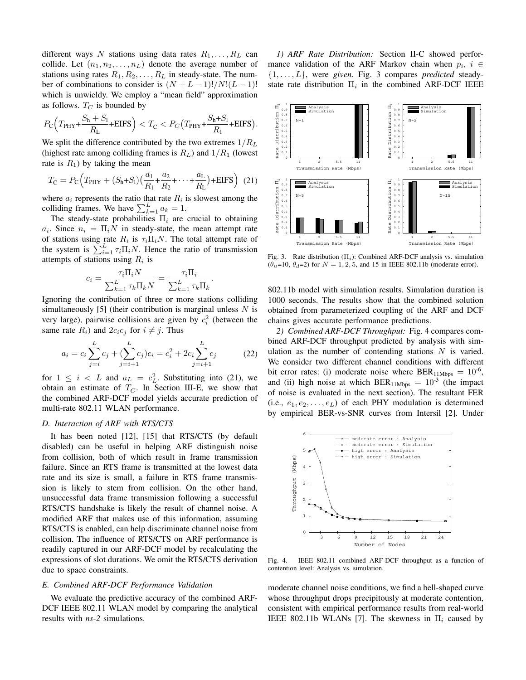different ways N stations using data rates  $R_1, \ldots, R_L$  can collide. Let  $(n_1, n_2, \ldots, n_L)$  denote the average number of stations using rates  $R_1, R_2, \ldots, R_L$  in steady-state. The number of combinations to consider is  $(N + L - 1)!/N!(L - 1)!$ which is unwieldy. We employ a "mean field" approximation as follows.  $T_C$  is bounded by

$$
P_{\rm C}\Big(T_{\rm PHY}+\frac{S_{\rm h}+S_{\rm l}}{R_{\rm L}}+\text{EIFS}\Big)
$$

We split the difference contributed by the two extremes  $1/R<sub>L</sub>$ (highest rate among colliding frames is  $R_L$ ) and  $1/R_1$  (lowest rate is  $R_1$ ) by taking the mean

$$
T_{\rm C} = P_{\rm C} \Big( T_{\rm PHY} + (S_{\rm h} + S_{\rm l}) \big( \frac{a_1}{R_1} + \frac{a_2}{R_2} + \dots + \frac{a_{\rm L}}{R_{\rm L}} \big) + \text{EIFS} \Big) \tag{21}
$$

where  $a_i$  represents the ratio that rate  $R_i$  is slowest among the colliding frames. We have  $\sum_{k=1}^{L} a_k = 1$ .

The steady-state probabilities  $\Pi_i$  are crucial to obtaining  $a_i$ . Since  $n_i = \Pi_i N$  in steady-state, the mean attempt rate of stations using rate  $R_i$  is  $\tau_i \Pi_i N$ . The total attempt rate of the system is  $\sum_{i=1}^{L} \tau_i \Pi_i N$ . Hence the ratio of transmission attempts of stations using  $R_i$  is

$$
c_i = \frac{\tau_i \Pi_i N}{\sum_{k=1}^L \tau_k \Pi_k N} = \frac{\tau_i \Pi_i}{\sum_{k=1}^L \tau_k \Pi_k}.
$$

Ignoring the contribution of three or more stations colliding simultaneously [5] (their contribution is marginal unless  $N$  is very large), pairwise collisions are given by  $c_i^2$  (between the same rate  $R_i$ ) and  $2c_i c_j$  for  $i \neq j$ . Thus

$$
a_i = c_i \sum_{j=i}^{L} c_j + (\sum_{j=i+1}^{L} c_j) c_i = c_i^2 + 2c_i \sum_{j=i+1}^{L} c_j
$$
 (22)

for  $1 \leq i \leq L$  and  $a_L = c_L^2$ . Substituting into (21), we obtain an estimate of  $T_C$ . In Section III-E, we show that the combined ARF-DCF model yields accurate prediction of multi-rate 802.11 WLAN performance.

# *D. Interaction of ARF with RTS/CTS*

It has been noted [12], [15] that RTS/CTS (by default disabled) can be useful in helping ARF distinguish noise from collision, both of which result in frame transmission failure. Since an RTS frame is transmitted at the lowest data rate and its size is small, a failure in RTS frame transmission is likely to stem from collision. On the other hand, unsuccessful data frame transmission following a successful RTS/CTS handshake is likely the result of channel noise. A modified ARF that makes use of this information, assuming RTS/CTS is enabled, can help discriminate channel noise from collision. The influence of RTS/CTS on ARF performance is readily captured in our ARF-DCF model by recalculating the expressions of slot durations. We omit the RTS/CTS derivation due to space constraints.

#### *E. Combined ARF-DCF Performance Validation*

We evaluate the predictive accuracy of the combined ARF-DCF IEEE 802.11 WLAN model by comparing the analytical results with *ns-2* simulations.

*1) ARF Rate Distribution:* Section II-C showed performance validation of the ARF Markov chain when  $p_i$ ,  $i \in$ {1,...,L}, were *given*. Fig. 3 compares *predicted* steadystate rate distribution  $\Pi_i$  in the combined ARF-DCF IEEE



Fig. 3. Rate distribution (Π*i*): Combined ARF-DCF analysis vs. simulation  $(\theta_u=10, \theta_d=2)$  for  $N = 1, 2, 5$ , and 15 in IEEE 802.11b (moderate error).

802.11b model with simulation results. Simulation duration is 1000 seconds. The results show that the combined solution obtained from parameterized coupling of the ARF and DCF chains gives accurate performance predictions.

*2) Combined ARF-DCF Throughput:* Fig. 4 compares combined ARF-DCF throughput predicted by analysis with simulation as the number of contending stations  $N$  is varied. We consider two different channel conditions with different bit error rates: (i) moderate noise where  $BER_{11Mbps} = 10^{-6}$ , and (ii) high noise at which  $BER_{11Mbps} = 10^{-3}$  (the impact of noise is evaluated in the next section). The resultant FER (i.e.,  $e_1, e_2, \ldots, e_L$ ) of each PHY modulation is determined by empirical BER-vs-SNR curves from Intersil [2]. Under



Fig. 4. IEEE 802.11 combined ARF-DCF throughput as a function of contention level: Analysis vs. simulation.

moderate channel noise conditions, we find a bell-shaped curve whose throughput drops precipitously at moderate contention, consistent with empirical performance results from real-world IEEE 802.11b WLANs [7]. The skewness in  $\Pi_i$  caused by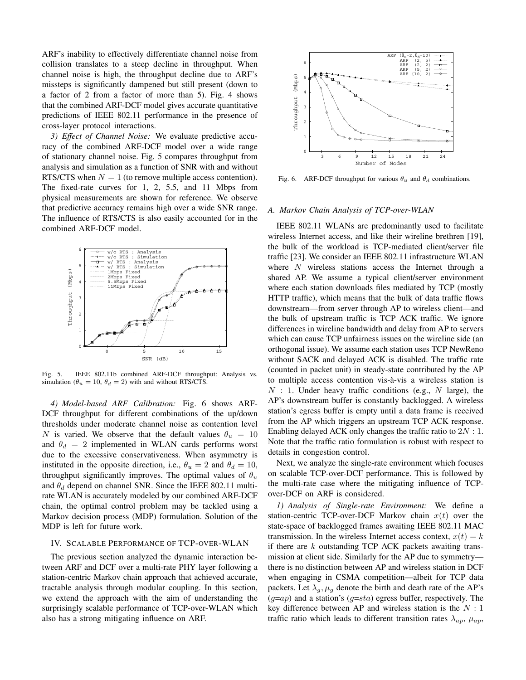ARF's inability to effectively differentiate channel noise from collision translates to a steep decline in throughput. When channel noise is high, the throughput decline due to ARF's missteps is significantly dampened but still present (down to a factor of 2 from a factor of more than 5). Fig. 4 shows that the combined ARF-DCF model gives accurate quantitative predictions of IEEE 802.11 performance in the presence of cross-layer protocol interactions.

*3) Effect of Channel Noise:* We evaluate predictive accuracy of the combined ARF-DCF model over a wide range of stationary channel noise. Fig. 5 compares throughput from analysis and simulation as a function of SNR with and without RTS/CTS when  $N = 1$  (to remove multiple access contention). The fixed-rate curves for 1, 2, 5.5, and 11 Mbps from physical measurements are shown for reference. We observe that predictive accuracy remains high over a wide SNR range. The influence of RTS/CTS is also easily accounted for in the combined ARF-DCF model.



Fig. 5. IEEE 802.11b combined ARF-DCF throughput: Analysis vs. simulation ( $\theta_u = 10$ ,  $\theta_d = 2$ ) with and without RTS/CTS.

*4) Model-based ARF Calibration:* Fig. 6 shows ARF-DCF throughput for different combinations of the up/down thresholds under moderate channel noise as contention level N is varied. We observe that the default values  $\theta_u = 10$ and  $\theta_d = 2$  implemented in WLAN cards performs worst due to the excessive conservativeness. When asymmetry is instituted in the opposite direction, i.e.,  $\theta_u = 2$  and  $\theta_d = 10$ , throughput significantly improves. The optimal values of  $\theta_u$ and  $\theta_d$  depend on channel SNR. Since the IEEE 802.11 multirate WLAN is accurately modeled by our combined ARF-DCF chain, the optimal control problem may be tackled using a Markov decision process (MDP) formulation. Solution of the MDP is left for future work.

### IV. SCALABLE PERFORMANCE OF TCP-OVER-WLAN

The previous section analyzed the dynamic interaction between ARF and DCF over a multi-rate PHY layer following a station-centric Markov chain approach that achieved accurate, tractable analysis through modular coupling. In this section, we extend the approach with the aim of understanding the surprisingly scalable performance of TCP-over-WLAN which also has a strong mitigating influence on ARF.



Fig. 6. ARF-DCF throughput for various  $\theta_u$  and  $\theta_d$  combinations.

# *A. Markov Chain Analysis of TCP-over-WLAN*

IEEE 802.11 WLANs are predominantly used to facilitate wireless Internet access, and like their wireline brethren [19], the bulk of the workload is TCP-mediated client/server file traffic [23]. We consider an IEEE 802.11 infrastructure WLAN where  $N$  wireless stations access the Internet through a shared AP. We assume a typical client/server environment where each station downloads files mediated by TCP (mostly HTTP traffic), which means that the bulk of data traffic flows downstream—from server through AP to wireless client—and the bulk of upstream traffic is TCP ACK traffic. We ignore differences in wireline bandwidth and delay from AP to servers which can cause TCP unfairness issues on the wireline side (an orthogonal issue). We assume each station uses TCP NewReno without SACK and delayed ACK is disabled. The traffic rate (counted in packet unit) in steady-state contributed by the AP to multiple access contention vis-a-vis a wireless station is `  $N:1$ . Under heavy traffic conditions (e.g., N large), the AP's downstream buffer is constantly backlogged. A wireless station's egress buffer is empty until a data frame is received from the AP which triggers an upstream TCP ACK response. Enabling delayed ACK only changes the traffic ratio to  $2N:1$ . Note that the traffic ratio formulation is robust with respect to details in congestion control.

Next, we analyze the single-rate environment which focuses on scalable TCP-over-DCF performance. This is followed by the multi-rate case where the mitigating influence of TCPover-DCF on ARF is considered.

*1) Analysis of Single-rate Environment:* We define a station-centric TCP-over-DCF Markov chain  $x(t)$  over the state-space of backlogged frames awaiting IEEE 802.11 MAC transmission. In the wireless Internet access context,  $x(t) = k$ if there are  $k$  outstanding TCP ACK packets awaiting transmission at client side. Similarly for the AP due to symmetry there is no distinction between AP and wireless station in DCF when engaging in CSMA competition—albeit for TCP data packets. Let  $\lambda_q$ ,  $\mu_q$  denote the birth and death rate of the AP's  $(q=ap)$  and a station's  $(q=sta)$  egress buffer, respectively. The key difference between AP and wireless station is the  $N:1$ traffic ratio which leads to different transition rates  $\lambda_{ap}$ ,  $\mu_{ap}$ ,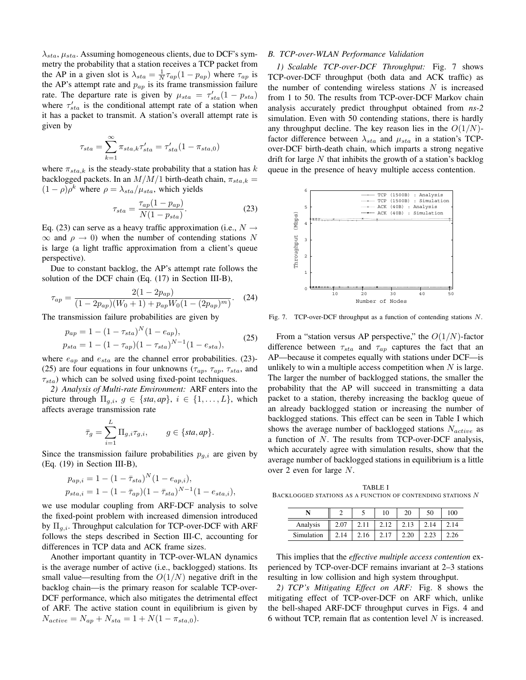$\lambda_{sta}$ ,  $\mu_{sta}$ . Assuming homogeneous clients, due to DCF's symmetry the probability that a station receives a TCP packet from the AP in a given slot is  $\lambda_{sta} = \frac{1}{N} \tau_{ap}(1 - p_{ap})$  where  $\tau_{ap}$  is the AP's attempt rate and  $p_{ap}$  is its frame transmission failure rate. The departure rate is given by  $\mu_{sta} = \tau_{sta}'(1 - p_{sta})$ where  $\tau_{sta}'$  is the conditional attempt rate of a station when it has a packet to transmit. A station's overall attempt rate is given by

$$
\tau_{sta} = \sum_{k=1}^{\infty} \pi_{sta,k} \tau'_{sta} = \tau'_{sta}(1 - \pi_{sta,0})
$$

where  $\pi_{sta,k}$  is the steady-state probability that a station has k backlogged packets. In an  $M/M/1$  birth-death chain,  $\pi_{sta,k} =$  $(1 - \rho)\rho^k$  where  $\rho = \lambda_{sta}/\mu_{sta}$ , which yields

$$
\tau_{sta} = \frac{\tau_{ap}(1 - p_{ap})}{N(1 - p_{sta})}.\tag{23}
$$

Eq. (23) can serve as a heavy traffic approximation (i.e.,  $N \rightarrow$  $\infty$  and  $\rho \to 0$ ) when the number of contending stations N is large (a light traffic approximation from a client's queue perspective).

Due to constant backlog, the AP's attempt rate follows the solution of the DCF chain (Eq. (17) in Section III-B),

$$
\tau_{ap} = \frac{2(1 - 2p_{ap})}{(1 - 2p_{ap})(W_0 + 1) + p_{ap}W_0(1 - (2p_{ap})^m)}.
$$
 (24)

The transmission failure probabilities are given by

$$
p_{ap} = 1 - (1 - \tau_{sta})^N (1 - e_{ap}),
$$
  
\n
$$
p_{sta} = 1 - (1 - \tau_{ap})(1 - \tau_{sta})^{N-1} (1 - e_{sta}),
$$
\n(25)

where  $e_{ap}$  and  $e_{sta}$  are the channel error probabilities. (23)-(25) are four equations in four unknowns ( $\tau_{ap}$ ,  $\tau_{ap}$ ,  $\tau_{sta}$ , and  $\tau_{sta}$ ) which can be solved using fixed-point techniques.

*2) Analysis of Multi-rate Environment:* ARF enters into the picture through  $\Pi_{g,i}$ ,  $g \in \{sta, ap\}$ ,  $i \in \{1, ..., L\}$ , which affects average transmission rate

$$
\bar{\tau}_g = \sum_{i=1}^L \Pi_{g,i} \tau_{g,i}, \qquad g \in \{sta, ap\}.
$$

Since the transmission failure probabilities  $p_{q,i}$  are given by (Eq. (19) in Section III-B),

$$
p_{ap,i} = 1 - (1 - \bar{\tau}_{sta})^N (1 - e_{ap,i}),
$$
  
\n
$$
p_{sta,i} = 1 - (1 - \bar{\tau}_{ap})(1 - \bar{\tau}_{sta})^{N-1} (1 - e_{sta,i}),
$$

we use modular coupling from ARF-DCF analysis to solve the fixed-point problem with increased dimension introduced by  $\Pi_{q,i}$ . Throughput calculation for TCP-over-DCF with ARF follows the steps described in Section III-C, accounting for differences in TCP data and ACK frame sizes.

Another important quantity in TCP-over-WLAN dynamics is the average number of active (i.e., backlogged) stations. Its small value—resulting from the  $O(1/N)$  negative drift in the backlog chain—is the primary reason for scalable TCP-over-DCF performance, which also mitigates the detrimental effect of ARF. The active station count in equilibrium is given by  $N_{active} = N_{ap} + N_{sta} = 1 + N(1 - \pi_{sta,0}).$ 

## *B. TCP-over-WLAN Performance Validation*

*1) Scalable TCP-over-DCF Throughput:* Fig. 7 shows TCP-over-DCF throughput (both data and ACK traffic) as the number of contending wireless stations  $N$  is increased from 1 to 50. The results from TCP-over-DCF Markov chain analysis accurately predict throughput obtained from *ns-2* simulation. Even with 50 contending stations, there is hardly any throughput decline. The key reason lies in the  $O(1/N)$ factor difference between  $\lambda_{sta}$  and  $\mu_{sta}$  in a station's TCPover-DCF birth-death chain, which imparts a strong negative drift for large  $N$  that inhibits the growth of a station's backlog queue in the presence of heavy multiple access contention.



Fig. 7. TCP-over-DCF throughput as a function of contending stations N.

From a "station versus AP perspective," the  $O(1/N)$ -factor difference between  $\tau_{sta}$  and  $\tau_{ap}$  captures the fact that an AP—because it competes equally with stations under DCF—is unlikely to win a multiple access competition when  $N$  is large. The larger the number of backlogged stations, the smaller the probability that the AP will succeed in transmitting a data packet to a station, thereby increasing the backlog queue of an already backlogged station or increasing the number of backlogged stations. This effect can be seen in Table I which shows the average number of backlogged stations  $N_{active}$  as a function of  $N$ . The results from TCP-over-DCF analysis, which accurately agree with simulation results, show that the average number of backlogged stations in equilibrium is a little over 2 even for large N.

TABLE I BACKLOGGED STATIONS AS A FUNCTION OF CONTENDING STATIONS  $\boldsymbol{N}$ 

|            |      |      | 10 |      | 50 | 100   |
|------------|------|------|----|------|----|-------|
| Analysis   | 2.07 |      |    | 2.13 |    | - 14. |
| Simulation | 2.14 | 2.16 |    |      |    |       |

This implies that the *effective multiple access contention* experienced by TCP-over-DCF remains invariant at 2–3 stations resulting in low collision and high system throughput.

*2) TCP's Mitigating Effect on ARF:* Fig. 8 shows the mitigating effect of TCP-over-DCF on ARF which, unlike the bell-shaped ARF-DCF throughput curves in Figs. 4 and 6 without TCP, remain flat as contention level  $N$  is increased.